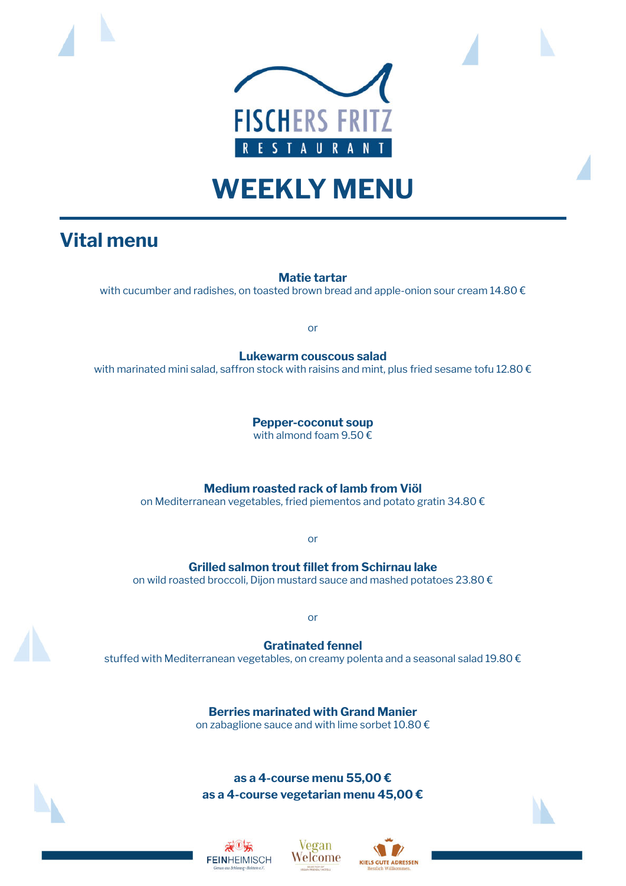

## **WEEKLY MENU**

## **Vital menu**

**Matie tartar**

with cucumber and radishes, on toasted brown bread and apple-onion sour cream 14.80 €

or

**Lukewarm couscous salad** with marinated mini salad, saffron stock with raisins and mint, plus fried sesame tofu 12.80  $\epsilon$ 

> **Pepper-coconut soup** with almond foam 9.50 €

**Medium roasted rack of lamb from Viöl**

on Mediterranean vegetables, fried piementos and potato gratin 34.80 €

or

**Grilled salmon trout fillet from Schirnau lake** on wild roasted broccoli, Dijon mustard sauce and mashed potatoes 23.80 €

or

**Gratinated fennel** stuffed with Mediterranean vegetables, on creamy polenta and a seasonal salad 19.80 €

> **Berries marinated with Grand Manier** on zabaglione sauce and with lime sorbet 10.80 €

**as a 4-course menu 55,00 € as a 4-course vegetarian menu 45,00 €**